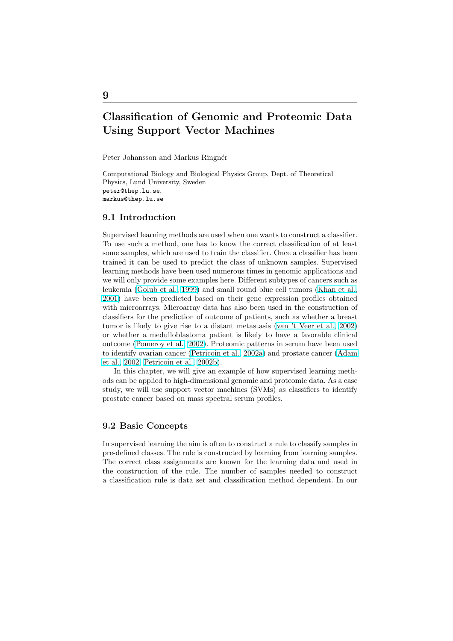# Classification of Genomic and Proteomic Data Using Support Vector Machines

Peter Johansson and Markus Ringnér

Computational Biology and Biological Physics Group, Dept. of Theoretical Physics, Lund University, Sweden peter@thep.lu.se, markus@thep.lu.se

# 9.1 Introduction

9

Supervised learning methods are used when one wants to construct a classifier. To use such a method, one has to know the correct classification of at least some samples, which are used to train the classifier. Once a classifier has been trained it can be used to predict the class of unknown samples. Supervised learning methods have been used numerous times in genomic applications and we will only provide some examples here. Different subtypes of cancers such as leukemia (Golub et al., 1999) and small round blue cell tumors (Khan et al., 2001) have been predicted based on their gene expression profiles obtained with microarrays. Microarray data has also been used in the construction of classifiers for the prediction of outcome of patients, such as whether a breast tumor is l[ikely to give](#page-14-0) [rise to](#page-14-0) a distant metastasis (van 't Veer [et al.,](#page-14-0) 2002) [or wh](#page-14-0)ether a medulloblastoma patient is likely to have a favorable clinical outcome (Pomeroy et al., 2002). Proteomic patterns in serum have been used to identify ovarian cancer (Petricoin et al., 2002a) and prostate cancer (Adam et al., 2002; Petricoin et al., 2002b).

In this chapter, we will give an example of how supervised learning methods can b[e applied to high-dime](#page-15-0)nsional genomic and proteomic data. As a case study, we will use suppor[t vector machines \(SVM](#page-15-0)s) as classifiers to i[dentify](#page-14-0) [prostate can](#page-14-0)[cer based on mass spec](#page-15-0)tral serum profiles.

# 9.2 Basic Concepts

In supervised learning the aim is often to construct a rule to classify samples in pre-defined classes. The rule is constructed by learning from learning samples. The correct class assignments are known for the learning data and used in the construction of the rule. The number of samples needed to construct a classification rule is data set and classification method dependent. In our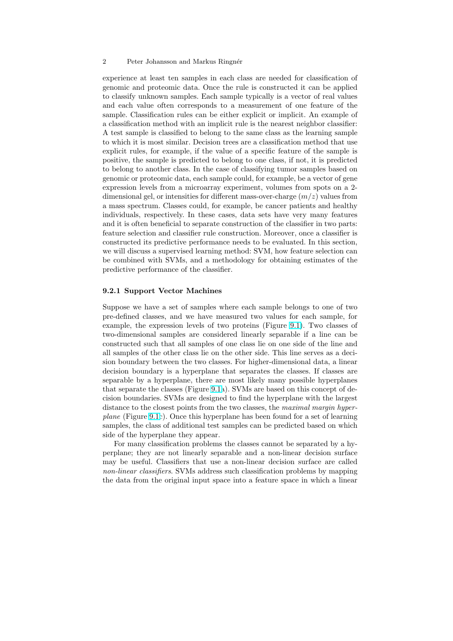#### 2 Peter Johansson and Markus Ringnér

experience at least ten samples in each class are needed for classification of genomic and proteomic data. Once the rule is constructed it can be applied to classify unknown samples. Each sample typically is a vector of real values and each value often corresponds to a measurement of one feature of the sample. Classification rules can be either explicit or implicit. An example of a classification method with an implicit rule is the nearest neighbor classifier: A test sample is classified to belong to the same class as the learning sample to which it is most similar. Decision trees are a classification method that use explicit rules, for example, if the value of a specific feature of the sample is positive, the sample is predicted to belong to one class, if not, it is predicted to belong to another class. In the case of classifying tumor samples based on genomic or proteomic data, each sample could, for example, be a vector of gene expression levels from a microarray experiment, volumes from spots on a 2 dimensional gel, or intensities for different mass-over-charge  $(m/z)$  values from a mass spectrum. Classes could, for example, be cancer patients and healthy individuals, respectively. In these cases, data sets have very many features and it is often beneficial to separate construction of the classifier in two parts: feature selection and classifier rule construction. Moreover, once a classifier is constructed its predictive performance needs to be evaluated. In this section, we will discuss a supervised learning method: SVM, how feature selection can be combined with SVMs, and a methodology for obtaining estimates of the predictive performance of the classifier.

#### 9.2.1 Support Vector Machines

Suppose we have a set of samples where each sample belongs to one of two pre-defined classes, and we have measured two values for each sample, for example, the expression levels of two proteins (Figure 9.1). Two classes of two-dimensional samples are considered linearly separable if a line can be constructed such that all samples of one class lie on one side of the line and all samples of the other class lie on the other side. This line serves as a decision boundary between the two classes. For higher-dime[nsion](#page-2-0)al data, a linear decision boundary is a hyperplane that separates the classes. If classes are separable by a hyperplane, there are most likely many possible hyperplanes that separate the classes (Figure 9.1a). SVMs are based on this concept of decision boundaries. SVMs are designed to find the hyperplane with the largest distance to the closest points from the two classes, the *maximal margin hyper*plane (Figure 9.1c). Once this hyperplane has been found for a set of learning samples, the class of additional t[est](#page-2-0) samples can be predicted based on which side of the hyperplane they appear.

For many classification problems the classes cannot be separated by a hyperplane; the[y ar](#page-2-0)e not linearly separable and a non-linear decision surface may be useful. Classifiers that use a non-linear decision surface are called non-linear classifiers. SVMs address such classification problems by mapping the data from the original input space into a feature space in which a linear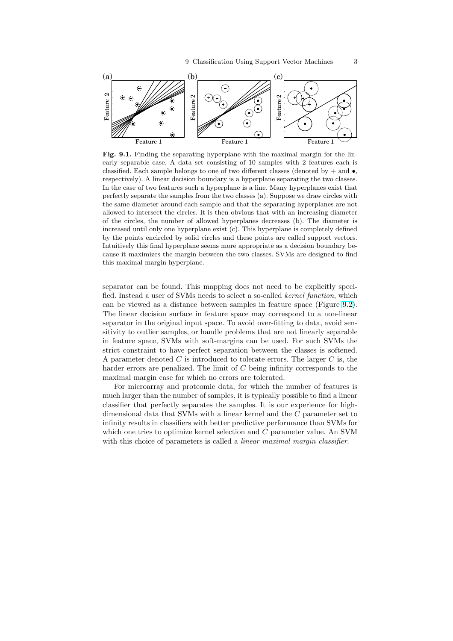<span id="page-2-0"></span>

Fig. 9.1. Finding the separating hyperplane with the maximal margin for the linearly separable case. A data set consisting of 10 samples with 2 features each is classified. Each sample belongs to one of two different classes (denoted by  $+$  and  $\bullet$ , respectively). A linear decision boundary is a hyperplane separating the two classes. In the case of two features such a hyperplane is a line. Many hyperplanes exist that perfectly separate the samples from the two classes (a). Suppose we draw circles with the same diameter around each sample and that the separating hyperplanes are not allowed to intersect the circles. It is then obvious that with an increasing diameter of the circles, the number of allowed hyperplanes decreases (b). The diameter is increased until only one hyperplane exist (c). This hyperplane is completely defined by the points encircled by solid circles and these points are called support vectors. Intuitively this final hyperplane seems more appropriate as a decision boundary because it maximizes the margin between the two classes. SVMs are designed to find this maximal margin hyperplane.

separator can be found. This mapping does not need to be explicitly specified. Instead a user of SVMs needs to select a so-called kernel function, which can be viewed as a distance between samples in feature space (Figure 9.2). The linear decision surface in feature space may correspond to a non-linear separator in the original input space. To avoid over-fitting to data, avoid sensitivity to outlier samples, or handle problems that are not linearly separable in feature space, SVMs with soft-margins can be used. For such SVM[s th](#page-3-0)e strict constraint to have perfect separation between the classes is softened. A parameter denoted  $C$  is introduced to tolerate errors. The larger  $C$  is, the harder errors are penalized. The limit of C being infinity corresponds to the maximal margin case for which no errors are tolerated.

For microarray and proteomic data, for which the number of features is much larger than the number of samples, it is typically possible to find a linear classifier that perfectly separates the samples. It is our experience for highdimensional data that SVMs with a linear kernel and the C parameter set to infinity results in classifiers with better predictive performance than SVMs for which one tries to optimize kernel selection and C parameter value. An SVM with this choice of parameters is called a *linear maximal margin classifier*.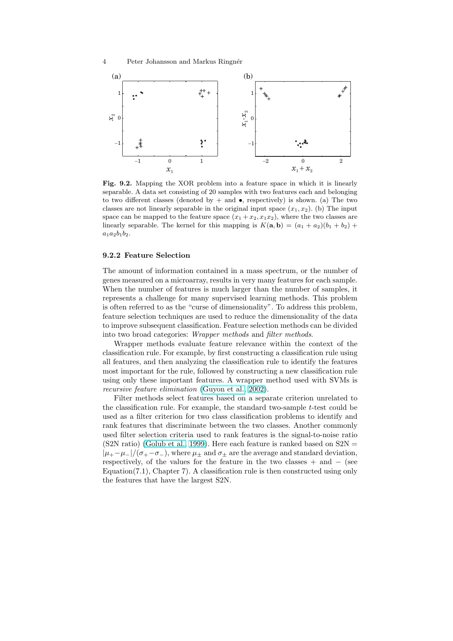<span id="page-3-0"></span>

Fig. 9.2. Mapping the XOR problem into a feature space in which it is linearly separable. A data set consisting of 20 samples with two features each and belonging to two different classes (denoted by  $+$  and  $\bullet$ , respectively) is shown. (a) The two classes are not linearly separable in the original input space  $(x_1, x_2)$ . (b) The input space can be mapped to the feature space  $(x_1 + x_2, x_1x_2)$ , where the two classes are linearly separable. The kernel for this mapping is  $K(\mathbf{a}, \mathbf{b}) = (a_1 + a_2)(b_1 + b_2) +$  $a_1a_2b_1b_2.$ 

#### 9.2.2 Feature Selection

The amount of information contained in a mass spectrum, or the number of genes measured on a microarray, results in very many features for each sample. When the number of features is much larger than the number of samples, it represents a challenge for many supervised learning methods. This problem is often referred to as the "curse of dimensionality". To address this problem, feature selection techniques are used to reduce the dimensionality of the data to improve subsequent classification. Feature selection methods can be divided into two broad categories: Wrapper methods and filter methods.

Wrapper methods evaluate feature relevance within the context of the classification rule. For example, by first constructing a classification rule using all features, and then analyzing the classification rule to identify the features most important for the rule, followed by constructing a new classification rule using only these important features. A wrapper method used with SVMs is recursive feature elimination (Guyon et al., 2002).

Filter methods select features based on a separate criterion unrelated to the classification rule. For example, the standard two-sample t-test could be used as a filter criterion for two class classification problems to identify and rank features that discrimina[te between the two](#page-14-0) classes. Another commonly used filter selection criteria used to rank features is the signal-to-noise ratio  $(S2N \text{ ratio})$  (Golub et al., 1999). Here each feature is ranked based on  $S2N =$  $|\mu_+-\mu_-|/(\sigma_+-\sigma_-)$ , where  $\mu_{\pm}$  and  $\sigma_{\pm}$  are the average and standard deviation, respectively, of the values for the feature in the two classes  $+$  and  $-$  (see Equation(7.1), Chapter 7). A classification rule is then constructed using only the features [that have the large](#page-14-0)st S2N.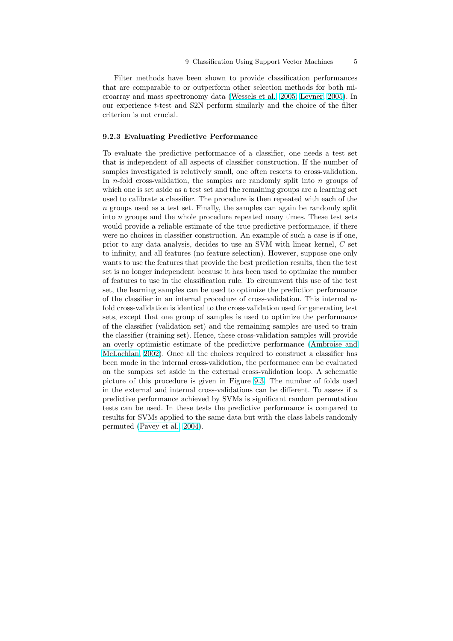Filter methods have been shown to provide classification performances that are comparable to or outperform other selection methods for both microarray and mass spectronomy data (Wessels et al., 2005; Levner, 2005). In our experience t-test and S2N perform similarly and the choice of the filter criterion is not crucial.

#### 9.2.3 Evaluating Predictive Perfo[rmance](#page-15-0)

To evaluate the predictive performance of a classifier, one needs a test set that is independent of all aspects of classifier construction. If the number of samples investigated is relatively small, one often resorts to cross-validation. In *n*-fold cross-validation, the samples are randomly split into *n* groups of which one is set aside as a test set and the remaining groups are a learning set used to calibrate a classifier. The procedure is then repeated with each of the n groups used as a test set. Finally, the samples can again be randomly split into n groups and the whole procedure repeated many times. These test sets would provide a reliable estimate of the true predictive performance, if there were no choices in classifier construction. An example of such a case is if one, prior to any data analysis, decides to use an SVM with linear kernel, C set to infinity, and all features (no feature selection). However, suppose one only wants to use the features that provide the best prediction results, then the test set is no longer independent because it has been used to optimize the number of features to use in the classification rule. To circumvent this use of the test set, the learning samples can be used to optimize the prediction performance of the classifier in an internal procedure of cross-validation. This internal nfold cross-validation is identical to the cross-validation used for generating test sets, except that one group of samples is used to optimize the performance of the classifier (validation set) and the remaining samples are used to train the classifier (training set). Hence, these cross-validation samples will provide an overly optimistic estimate of the predictive performance (Ambroise and McLachlan, 2002). Once all the choices required to construct a classifier has been made in the internal cross-validation, the performance can be evaluated on the samples set aside in the external cross-validation loop. A schematic picture of this procedure is given in Figure 9.3. The numbe[r of folds used](#page-14-0) [in the external an](#page-14-0)d internal cross-validations can be different. To assess if a predictive performance achieved by SVMs is significant random permutation tests can be used. In these tests the predictive performance is compared to results for SVMs applied to the same data bu[t wi](#page-5-0)th the class labels randomly permuted (Pavey et al., 2004).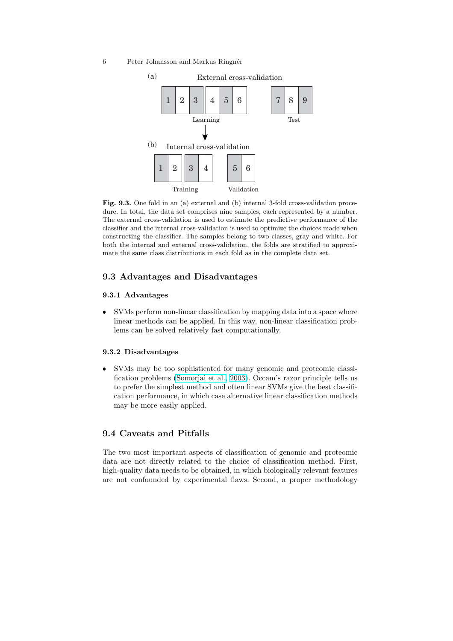<span id="page-5-0"></span>6 Peter Johansson and Markus Ringnér



Fig. 9.3. One fold in an (a) external and (b) internal 3-fold cross-validation procedure. In total, the data set comprises nine samples, each represented by a number. The external cross-validation is used to estimate the predictive performance of the classifier and the internal cross-validation is used to optimize the choices made when constructing the classifier. The samples belong to two classes, gray and white. For both the internal and external cross-validation, the folds are stratified to approximate the same class distributions in each fold as in the complete data set.

# 9.3 Advantages and Disadvantages

### 9.3.1 Advantages

 SVMs perform non-linear classification by mapping data into a space where linear methods can be applied. In this way, non-linear classification problems can be solved relatively fast computationally.

# 9.3.2 Disadvantages

 SVMs may be too sophisticated for many genomic and proteomic classification problems (Somorjai et al., 2003). Occam's razor principle tells us to prefer the simplest method and often linear SVMs give the best classification performance, in which case alternative linear classification methods may be more easily applied.

# 9.4 Caveats and Pitfalls

The two most important aspects of classification of genomic and proteomic data are not directly related to the choice of classification method. First, high-quality data needs to be obtained, in which biologically relevant features are not confounded by experimental flaws. Second, a proper methodology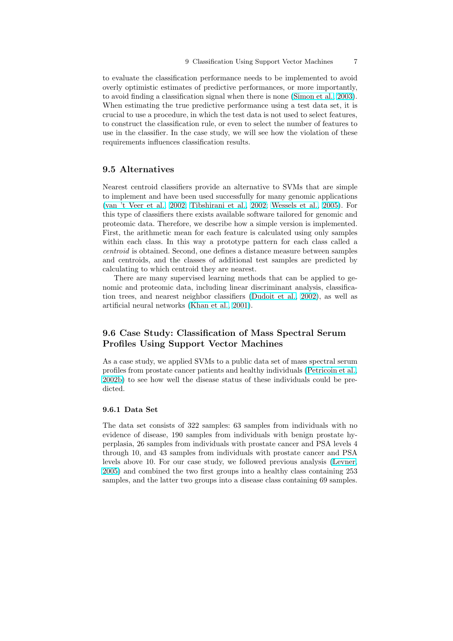<span id="page-6-0"></span>to evaluate the classification performance needs to be implemented to avoid overly optimistic estimates of predictive performances, or more importantly, to avoid finding a classification signal when there is none (Simon et al., 2003). When estimating the true predictive performance using a test data set, it is crucial to use a procedure, in which the test data is not used to select features, to construct the classification rule, or even to select the number of features to use in the classifier. In the case study, we will see how t[he violation of thes](#page-15-0)e requirements influences classification results.

# 9.5 Alternatives

Nearest centroid classifiers provide an alternative to SVMs that are simple to implement and have been used successfully for many genomic applications (van 't Veer et al., 2002; Tibshirani et al., 2002; Wessels et al., 2005). For this type of classifiers there exists available software tailored for genomic and proteomic data. Therefore, we describe how a simple version is implemented. First, the arithmetic mean for each feature is calculated using only samples [within each class.](#page-15-0) [In thi](#page-15-0)s [way a prototype pattern for each class cal](#page-15-0)led a centroid is obtained. Second, one defines a distance measure between samples and centroids, and the classes of additional test samples are predicted by calculating to which centroid they are nearest.

There are many supervised learning methods that can be applied to genomic and proteomic data, including linear discriminant analysis, classification trees, and nearest neighbor classifiers (Dudoit et al., 2002), as well as artificial neural networks (Khan et al., 2001).

# 9.6 Case Study: Classification of [Mass Spectral](#page-14-0) Serum Profiles Using Sup[port Vector M](#page-14-0)achines

As a case study, we applied SVMs to a public data set of mass spectral serum profiles from prostate cancer patients and healthy individuals (Petricoin et al., 2002b) to see how well the disease status of these individuals could be predicted.

#### 9.6.1 Data Set

The data set consists of 322 samples: 63 samples from individuals with no evidence of disease, 190 samples from individuals with benign prostate hyperplasia, 26 samples from individuals with prostate cancer and PSA levels 4 through 10, and 43 samples from individuals with prostate cancer and PSA levels above 10. For our case study, we followed previous analysis (Levner, 2005) and combined the two first groups into a healthy class containing 253 samples, and the latter two groups into a disease class containing 69 samples.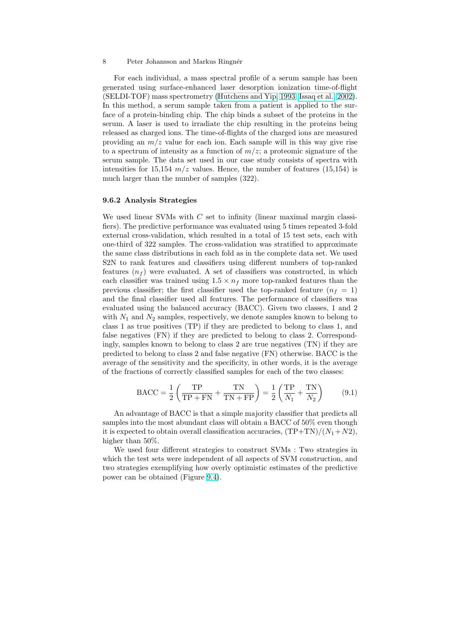#### 8 Peter Johansson and Markus Ringnér

For each individual, a mass spectral profile of a serum sample has been generated using surface-enhanced laser desorption ionization time-of-flight (SELDI-TOF) mass spectrometry (Hutchens and Yip, 1993; Issaq et al., 2002). In this method, a serum sample taken from a patient is applied to the surface of a protein-binding chip. The chip binds a subset of the proteins in the serum. A laser is used to irradiate the chip resulting in the proteins being released as charged ions. The time[-of-flights of the charged ions are measured](#page-14-0) providing an  $m/z$  value for each ion. Each sample will in this way give rise to a spectrum of intensity as a function of  $m/z$ ; a proteomic signature of the serum sample. The data set used in our case study consists of spectra with intensities for 15,154  $m/z$  values. Hence, the number of features (15,154) is much larger than the number of samples (322).

#### 9.6.2 Analysis Strategies

We used linear SVMs with  $C$  set to infinity (linear maximal margin classifiers). The predictive performance was evaluated using 5 times repeated 3-fold external cross-validation, which resulted in a total of 15 test sets, each with one-third of 322 samples. The cross-validation was stratified to approximate the same class distributions in each fold as in the complete data set. We used S2N to rank features and classifiers using different numbers of top-ranked features  $(n_f)$  were evaluated. A set of classifiers was constructed, in which each classifier was trained using  $1.5 \times n_f$  more top-ranked features than the previous classifier; the first classifier used the top-ranked feature  $(n_f = 1)$ and the final classifier used all features. The performance of classifiers was evaluated using the balanced accuracy (BACC). Given two classes, 1 and 2 with  $N_1$  and  $N_2$  samples, respectively, we denote samples known to belong to class 1 as true positives (TP) if they are predicted to belong to class 1, and false negatives (FN) if they are predicted to belong to class 2. Correspondingly, samples known to belong to class 2 are true negatives (TN) if they are predicted to belong to class 2 and false negative (FN) otherwise. BACC is the average of the sensitivity and the specificity, in other words, it is the average of the fractions of correctly classified samples for each of the two classes:

$$
\text{BACC} = \frac{1}{2} \left( \frac{\text{TP}}{\text{TP} + \text{FN}} + \frac{\text{TN}}{\text{TN} + \text{FP}} \right) = \frac{1}{2} \left( \frac{\text{TP}}{N_1} + \frac{\text{TN}}{N_2} \right) \tag{9.1}
$$

An advantage of BACC is that a simple majority classifier that predicts all samples into the most abundant class will obtain a BACC of 50% even though it is expected to obtain overall classification accuracies,  $(TP+TN)/(N_1+N_2)$ , higher than 50%.

We used four different strategies to construct SVMs : Two strategies in which the test sets were independent of all aspects of SVM construction, and two strategies exemplifying how overly optimistic estimates of the predictive power can be obtained (Figure 9.4).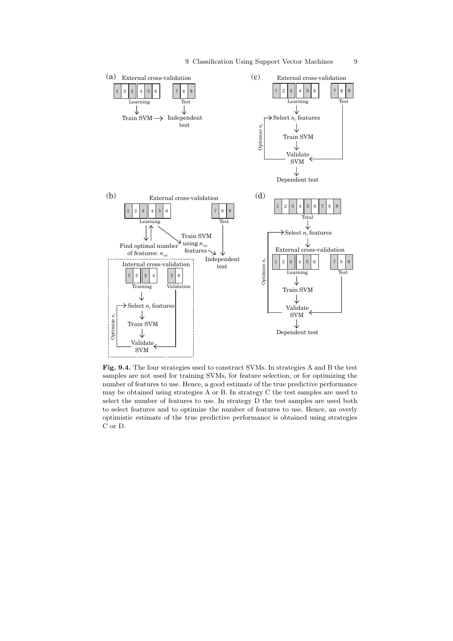<span id="page-8-0"></span>

Fig. 9.4. The four strategies used to construct SVMs. In strategies A and B the test samples are not used for training SVMs, for feature selection, or for optimizing the number of features to use. Hence, a good estimate of the true predictive performance may be obtained using strategies A or B. In strategy C the test samples are used to select the number of features to use. In strategy D the test samples are used both to select features and to optimize the number of features to use. Hence, an overly optimistic estimate of the true predictive performance is obtained using strategies C or D.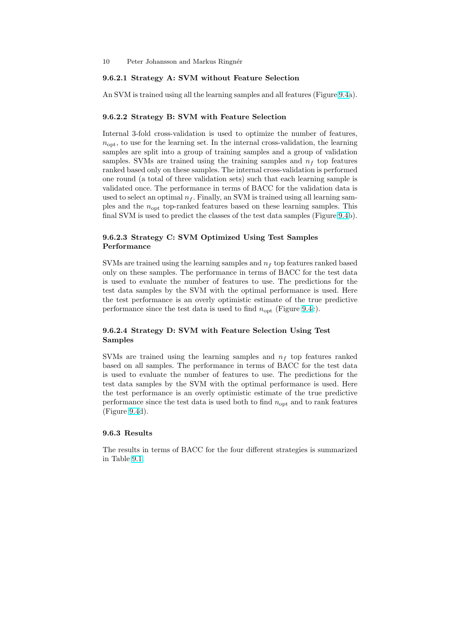#### 9.6.2.1 Strategy A: SVM without Feature Selection

An SVM is trained using all the learning samples and all features (Figure 9.4a).

#### 9.6.2.2 Strategy B: SVM with Feature Selection

Internal 3-fold cross-validation is used to optimize the number of fe[ature](#page-8-0)s,  $n_{\text{opt}}$ , to use for the learning set. In the internal cross-validation, the learning samples are split into a group of training samples and a group of validation samples. SVMs are trained using the training samples and  $n_f$  top features ranked based only on these samples. The internal cross-validation is performed one round (a total of three validation sets) such that each learning sample is validated once. The performance in terms of BACC for the validation data is used to select an optimal  $n_f$ . Finally, an SVM is trained using all learning samples and the  $n_{\text{out}}$  top-ranked features based on these learning samples. This final SVM is used to predict the classes of the test data samples (Figure 9.4b).

# 9.6.2.3 Strategy C: SVM Optimized Using Test Samples Performance

SVMs are trained using the learning samples and  $n_f$  top features ranked based only on these samples. The performance in terms of BACC for the test data is used to evaluate the number of features to use. The predictions for the test data samples by the SVM with the optimal performance is used. Here the test performance is an overly optimistic estimate of the true predictive performance since the test data is used to find  $n_{\text{opt}}$  (Figure 9.4c).

# 9.6.2.4 Strategy D: SVM with Feature Selection Using Test Samples

SVMs are trained using the learning samples and  $n_f$  top features ranked based on all samples. The performance in terms of BACC for the test data is used to evaluate the number of features to use. The predictions for the test data samples by the SVM with the optimal performance is used. Here the test performance is an overly optimistic estimate of the true predictive performance since the test data is used both to find  $n_{\text{opt}}$  and to rank features (Figure 9.4d).

#### 9.6.3 Results

The res[ults](#page-8-0) in terms of BACC for the four different strategies is summarized in Table 9.1.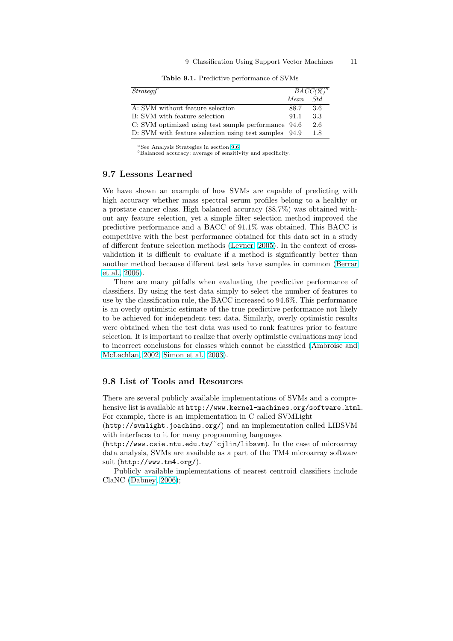#### 9 Classification Using Support Vector Machines 11

Table 9.1. Predictive performance of SVMs

| Strategy <sup>a</sup>                                 | $BACC(\mathcal{C})^b$ |      |
|-------------------------------------------------------|-----------------------|------|
|                                                       | Mean                  | Std. |
| A: SVM without feature selection                      | 88.7                  | 3.6  |
| B: SVM with feature selection                         | 91.1                  | 3.3  |
| C: SVM optimized using test sample performance 94.6   |                       | 2.6  |
| D: SVM with feature selection using test samples 94.9 |                       | 1.8  |

 $a<sup>a</sup>$  See Analysis Strategies in section 9.6.

<sup>b</sup>Balanced accuracy: average of sensitivity and specificity.

### 9.7 Lessons Learned

We have shown an example of how [SVM](#page-6-0)s are capable of predicting with high accuracy whether mass spectral serum profiles belong to a healthy or a prostate cancer class. High balanced accuracy (88.7%) was obtained without any feature selection, yet a simple filter selection method improved the predictive performance and a BACC of 91.1% was obtained. This BACC is competitive with the best performance obtained for this data set in a study of different feature selection methods (Levner, 2005). In the context of crossvalidation it is difficult to evaluate if a method is significantly better than another method because different test sets have samples in common (Berrar et al., 2006).

There are many pitfalls when ev[aluating the p](#page-15-0)redictive performance of classifiers. By using the test data simply to select the number of features to use by the classification rule, the BACC increased to 94.6%. This perfo[rmance](#page-14-0) [is an](#page-14-0) [overly](#page-14-0) optimistic estimate of the true predictive performance not likely to be achieved for independent test data. Similarly, overly optimistic results were obtained when the test data was used to rank features prior to feature selection. It is important to realize that overly optimistic evaluations may lead to incorrect conclusions for classes which cannot be classified (Ambroise and McLachlan, 2002; Simon et al., 2003).

# 9.8 List of Tools and Resources

[There are several](#page-14-0) [publicly available i](#page-15-0)mplementations of SVMs and a comprehensive list is available at  $http://www.kerne1-machines.org/software.html$ . For example, there is an implementation in C called SVMLight

(http://svmlight.joachims.org/) and an implementation called LIBSVM with interfaces to it for many programming languages

(http://www.csie.ntu.edu.tw/~cjlin/libsvm). In the case of microarray data analysis, SVMs are available as a part of the TM4 microarray software suit (http://www.tm4.org/).

Publicly available implementations of nearest centroid classifiers include ClaNC (Dabney, 2006);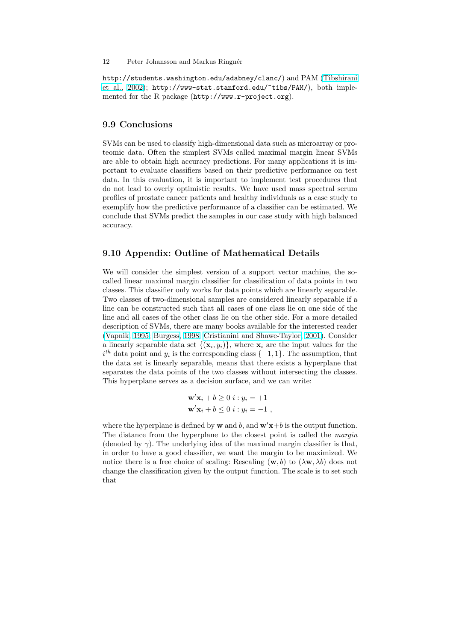http://students.washington.edu/adabney/clanc/) and PAM (Tibshirani et al., 2002); http://www-stat.stanford.edu/~tibs/PAM/), both implemented for the R package (http://www.r-project.org).

# [9.9 Concl](#page-15-0)usions

SVMs can be used to classify high-dimensional data such as microarray or proteomic data. Often the simplest SVMs called maximal margin linear SVMs are able to obtain high accuracy predictions. For many applications it is important to evaluate classifiers based on their predictive performance on test data. In this evaluation, it is important to implement test procedures that do not lead to overly optimistic results. We have used mass spectral serum profiles of prostate cancer patients and healthy individuals as a case study to exemplify how the predictive performance of a classifier can be estimated. We conclude that SVMs predict the samples in our case study with high balanced accuracy.

# 9.10 Appendix: Outline of Mathematical Details

We will consider the simplest version of a support vector machine, the socalled linear maximal margin classifier for classification of data points in two classes. This classifier only works for data points which are linearly separable. Two classes of two-dimensional samples are considered linearly separable if a line can be constructed such that all cases of one class lie on one side of the line and all cases of the other class lie on the other side. For a more detailed description of SVMs, there are many books available for the interested reader (Vapnik, 1995; Burgess, 1998; Cristianini and Shawe-Taylor, 2001). Consider a linearly separable data set  $\{(\mathbf{x}_i, y_i)\}\$ , where  $\mathbf{x}_i$  are the input values for the  $i<sup>th</sup>$  data point and  $y<sub>i</sub>$  is the corresponding class  $\{-1,1\}$ . The assumption, that the data set is linearly separable, means that there exists a hyperplane that [separate](#page-15-0)s [the](#page-15-0) [data points of the two classes without intersecting t](#page-14-0)he classes. This hyperplane serves as a decision surface, and we can write:

$$
\mathbf{w}'\mathbf{x}_i + b \ge 0 \ i : y_i = +1
$$
  

$$
\mathbf{w}'\mathbf{x}_i + b \le 0 \ i : y_i = -1 \ ,
$$

where the hyperplane is defined by **w** and b, and  $\mathbf{w}'\mathbf{x}+b$  is the output function. The distance from the hyperplane to the closest point is called the margin (denoted by  $\gamma$ ). The underlying idea of the maximal margin classifier is that, in order to have a good classifier, we want the margin to be maximized. We notice there is a free choice of scaling: Rescaling (w, b) to  $(\lambda w, \lambda b)$  does not change the classification given by the output function. The scale is to set such that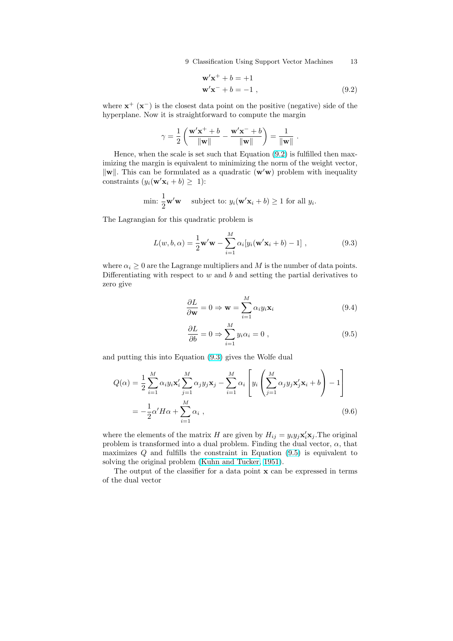$$
\mathbf{w}'\mathbf{x}^+ + b = +1
$$
  

$$
\mathbf{w}'\mathbf{x}^- + b = -1,
$$
 (9.2)

.

<span id="page-12-0"></span>where  $x^{+}(x^{-})$  is the closest data point on the positive (negative) side of the hyperplane. Now it is straightforward to compute the margin

$$
\gamma = \frac{1}{2} \left( \frac{\mathbf{w}' \mathbf{x}^+ + b}{\|\mathbf{w}\|} - \frac{\mathbf{w}' \mathbf{x}^- + b}{\|\mathbf{w}\|} \right) = \frac{1}{\|\mathbf{w}\|}
$$

Hence, when the scale is set such that Equation (9.2) is fulfilled then maximizing the margin is equivalent to minimizing the norm of the weight vector,  $\|\mathbf{w}\|$ . This can be formulated as a quadratic  $(\mathbf{w}'\mathbf{w})$  problem with inequality constraints  $(y_i(\mathbf{w}'\mathbf{x}_i + b) \geq 1)$ :

min: 
$$
\frac{1}{2}\mathbf{w}'\mathbf{w}
$$
 subject to:  $y_i(\mathbf{w}'\mathbf{x}_i + b) \ge 1$  for all  $y_i$ .

The Lagrangian for this quadratic problem is

$$
L(w, b, \alpha) = \frac{1}{2} \mathbf{w}' \mathbf{w} - \sum_{i=1}^{M} \alpha_i [y_i(\mathbf{w}' \mathbf{x}_i + b) - 1], \qquad (9.3)
$$

where  $\alpha_i \geq 0$  are the Lagrange multipliers and M is the number of data points. Differentiating with respect to  $w$  and  $b$  and setting the partial derivatives to zero give

$$
\frac{\partial L}{\partial \mathbf{w}} = 0 \Rightarrow \mathbf{w} = \sum_{i=1}^{M} \alpha_i y_i \mathbf{x}_i
$$
\n(9.4)

$$
\frac{\partial L}{\partial b} = 0 \Rightarrow \sum_{i=1}^{M} y_i \alpha_i = 0 , \qquad (9.5)
$$

and putting this into Equation (9.3) gives the Wolfe dual

$$
Q(\alpha) = \frac{1}{2} \sum_{i=1}^{M} \alpha_i y_i \mathbf{x}_i' \sum_{j=1}^{M} \alpha_j y_j \mathbf{x}_j - \sum_{i=1}^{M} \alpha_i \left[ y_i \left( \sum_{j=1}^{M} \alpha_j y_j \mathbf{x}_j' \mathbf{x}_i + b \right) - 1 \right]
$$
  
=  $-\frac{1}{2} \alpha' H \alpha + \sum_{i=1}^{M} \alpha_i$ , (9.6)

where the elements of the matrix H are given by  $H_{ij} = y_i y_j \mathbf{x}_i' \mathbf{x}_j$ . The original problem is transformed into a dual problem. Finding the dual vector,  $\alpha$ , that maximizes  $Q$  and fulfills the constraint in Equation  $(9.5)$  is equivalent to solving the original problem (Kuhn and Tucker, 1951).

The output of the classifier for a data point x can be expressed in terms of the dual vector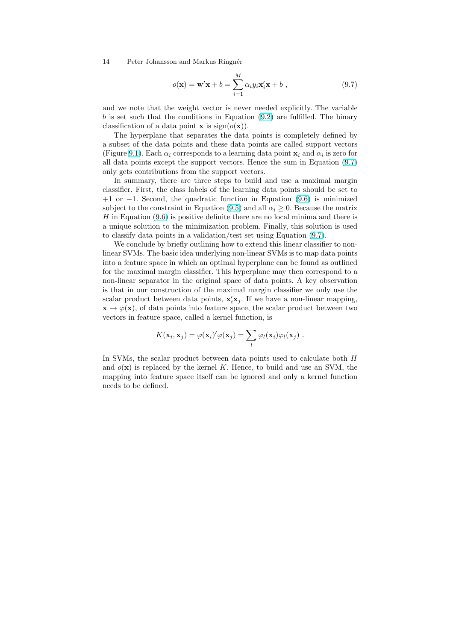14 Peter Johansson and Markus Ringnér

$$
o(\mathbf{x}) = \mathbf{w}'\mathbf{x} + b = \sum_{i=1}^{M} \alpha_i y_i \mathbf{x}_i' \mathbf{x} + b,
$$
\n(9.7)

and we note that the weight vector is never needed explicitly. The variable  $b$  is set such that the conditions in Equation  $(9.2)$  are fulfilled. The binary classification of a data point **x** is  $sign(o(\mathbf{x}))$ .

The hyperplane that separates the data points is completely defined by a subset of the data points and these data points are called support vectors (Figure 9.1). Each  $\alpha_i$  corresponds to a learning [data](#page-12-0) point  $\mathbf{x}_i$  and  $\alpha_i$  is zero for all data points except the support vectors. Hence the sum in Equation (9.7) only gets contributions from the support vectors.

In summary, there are three steps to build and use a maximal margin classifie[r. F](#page-2-0)irst, the class labels of the learning data points should be set to +1 or −1. Second, the quadratic function in Equation (9.6) is mini[mized](#page-12-0) subject to the constraint in Equation (9.5) and all  $\alpha_i \geq 0$ . Because the matrix  $H$  in Equation  $(9.6)$  is positive definite there are no local minima and there is a unique solution to the minimization problem. Finally, this solution is used to classify data points in a validation/test set using Equat[ion](#page-12-0) (9.7).

We conclude by briefly outlining h[ow to](#page-12-0) extend this linear classifier to nonlinear SVMs. T[he ba](#page-12-0)sic idea underlying non-linear SVMs is to map data points into a feature space in which an optimal hyperplane can be found as outlined for the maximal margin classifier. This hyperplane may then c[orre](#page-12-0)spond to a non-linear separator in the original space of data points. A key observation is that in our construction of the maximal margin classifier we only use the scalar product between data points,  $\mathbf{x}'_i \mathbf{x}_j$ . If we have a non-linear mapping,  $\mathbf{x} \mapsto \varphi(\mathbf{x})$ , of data points into feature space, the scalar product between two vectors in feature space, called a kernel function, is

$$
K(\mathbf{x}_i, \mathbf{x}_j) = \varphi(\mathbf{x}_i)' \varphi(\mathbf{x}_j) = \sum_l \varphi_l(\mathbf{x}_i) \varphi_l(\mathbf{x}_j) .
$$

In SVMs, the scalar product between data points used to calculate both  $H$ and  $o(x)$  is replaced by the kernel K. Hence, to build and use an SVM, the mapping into feature space itself can be ignored and only a kernel function needs to be defined.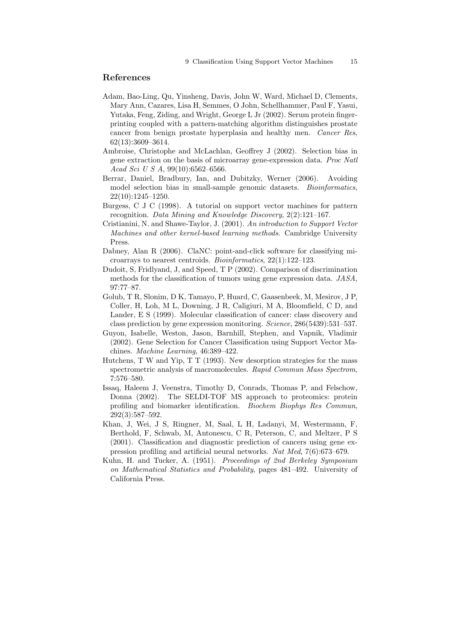## <span id="page-14-0"></span>References

- Adam, Bao-Ling, Qu, Yinsheng, Davis, John W, Ward, Michael D, Clements, Mary Ann, Cazares, Lisa H, Semmes, O John, Schellhammer, Paul F, Yasui, Yutaka, Feng, Ziding, and Wright, George L Jr (2002). Serum protein fingerprinting coupled with a pattern-matching algorithm distinguishes prostate cancer from benign prostate hyperplasia and healthy men. Cancer Res, 62(13):3609–3614.
- Ambroise, Christophe and McLachlan, Geoffrey J (2002). Selection bias in gene extraction on the basis of microarray gene-expression data. Proc Natl Acad Sci U S A, 99(10):6562–6566.
- Berrar, Daniel, Bradbury, Ian, and Dubitzky, Werner (2006). Avoiding model selection bias in small-sample genomic datasets. Bioinformatics, 22(10):1245–1250.
- Burgess, C J C (1998). A tutorial on support vector machines for pattern recognition. Data Mining and Knowledge Discovery, 2(2):121–167.
- Cristianini, N. and Shawe-Taylor, J. (2001). An introduction to Support Vector Machines and other kernel-based learning methods. Cambridge University Press.
- Dabney, Alan R (2006). ClaNC: point-and-click software for classifying microarrays to nearest centroids. Bioinformatics, 22(1):122–123.
- Dudoit, S, Fridlyand, J, and Speed, T P (2002). Comparison of discrimination methods for the classification of tumors using gene expression data. JASA, 97:77–87.
- Golub, T R, Slonim, D K, Tamayo, P, Huard, C, Gaasenbeek, M, Mesirov, J P, Coller, H, Loh, M L, Downing, J R, Caligiuri, M A, Bloomfield, C D, and Lander, E S (1999). Molecular classification of cancer: class discovery and class prediction by gene expression monitoring. Science, 286(5439):531–537.
- Guyon, Isabelle, Weston, Jason, Barnhill, Stephen, and Vapnik, Vladimir (2002). Gene Selection for Cancer Classification using Support Vector Machines. Machine Learning, 46:389–422.
- Hutchens, T W and Yip, T T (1993). New desorption strategies for the mass spectrometric analysis of macromolecules. Rapid Commun Mass Spectrom, 7:576–580.
- Issaq, Haleem J, Veenstra, Timothy D, Conrads, Thomas P, and Felschow, Donna (2002). The SELDI-TOF MS approach to proteomics: protein profiling and biomarker identification. Biochem Biophys Res Commun, 292(3):587–592.
- Khan, J, Wei, J S, Ringner, M, Saal, L H, Ladanyi, M, Westermann, F, Berthold, F, Schwab, M, Antonescu, C R, Peterson, C, and Meltzer, P S (2001). Classification and diagnostic prediction of cancers using gene expression profiling and artificial neural networks. Nat Med, 7(6):673–679.
- Kuhn, H. and Tucker, A. (1951). Proceedings of 2nd Berkeley Symposium on Mathematical Statistics and Probability, pages 481–492. University of California Press.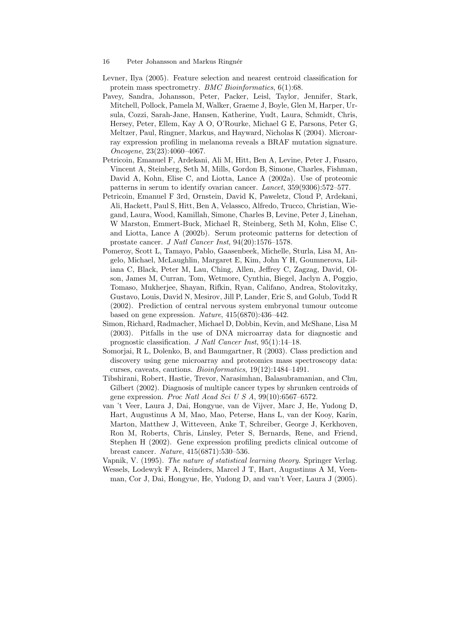- <span id="page-15-0"></span>16 Peter Johansson and Markus Ringnér
- Levner, Ilya (2005). Feature selection and nearest centroid classification for protein mass spectrometry. BMC Bioinformatics, 6(1):68.
- Pavey, Sandra, Johansson, Peter, Packer, Leisl, Taylor, Jennifer, Stark, Mitchell, Pollock, Pamela M, Walker, Graeme J, Boyle, Glen M, Harper, Ursula, Cozzi, Sarah-Jane, Hansen, Katherine, Yudt, Laura, Schmidt, Chris, Hersey, Peter, Ellem, Kay A O, O'Rourke, Michael G E, Parsons, Peter G, Meltzer, Paul, Ringner, Markus, and Hayward, Nicholas K (2004). Microarray expression profiling in melanoma reveals a BRAF mutation signature. Oncogene, 23(23):4060–4067.
- Petricoin, Emanuel F, Ardekani, Ali M, Hitt, Ben A, Levine, Peter J, Fusaro, Vincent A, Steinberg, Seth M, Mills, Gordon B, Simone, Charles, Fishman, David A, Kohn, Elise C, and Liotta, Lance A (2002a). Use of proteomic patterns in serum to identify ovarian cancer. Lancet, 359(9306):572–577.
- Petricoin, Emanuel F 3rd, Ornstein, David K, Paweletz, Cloud P, Ardekani, Ali, Hackett, Paul S, Hitt, Ben A, Velassco, Alfredo, Trucco, Christian, Wiegand, Laura, Wood, Kamillah, Simone, Charles B, Levine, Peter J, Linehan, W Marston, Emmert-Buck, Michael R, Steinberg, Seth M, Kohn, Elise C, and Liotta, Lance A (2002b). Serum proteomic patterns for detection of prostate cancer. J Natl Cancer Inst, 94(20):1576–1578.
- Pomeroy, Scott L, Tamayo, Pablo, Gaasenbeek, Michelle, Sturla, Lisa M, Angelo, Michael, McLaughlin, Margaret E, Kim, John Y H, Goumnerova, Liliana C, Black, Peter M, Lau, Ching, Allen, Jeffrey C, Zagzag, David, Olson, James M, Curran, Tom, Wetmore, Cynthia, Biegel, Jaclyn A, Poggio, Tomaso, Mukherjee, Shayan, Rifkin, Ryan, Califano, Andrea, Stolovitzky, Gustavo, Louis, David N, Mesirov, Jill P, Lander, Eric S, and Golub, Todd R (2002). Prediction of central nervous system embryonal tumour outcome based on gene expression. Nature, 415(6870):436–442.
- Simon, Richard, Radmacher, Michael D, Dobbin, Kevin, and McShane, Lisa M (2003). Pitfalls in the use of DNA microarray data for diagnostic and prognostic classification. J Natl Cancer Inst, 95(1):14–18.
- Somorjai, R L, Dolenko, B, and Baumgartner, R (2003). Class prediction and discovery using gene microarray and proteomics mass spectroscopy data: curses, caveats, cautions. Bioinformatics, 19(12):1484–1491.
- Tibshirani, Robert, Hastie, Trevor, Narasimhan, Balasubramanian, and Chu, Gilbert (2002). Diagnosis of multiple cancer types by shrunken centroids of gene expression. Proc Natl Acad Sci U S  $A$ , 99(10):6567-6572.
- van 't Veer, Laura J, Dai, Hongyue, van de Vijver, Marc J, He, Yudong D, Hart, Augustinus A M, Mao, Mao, Peterse, Hans L, van der Kooy, Karin, Marton, Matthew J, Witteveen, Anke T, Schreiber, George J, Kerkhoven, Ron M, Roberts, Chris, Linsley, Peter S, Bernards, Rene, and Friend, Stephen H (2002). Gene expression profiling predicts clinical outcome of breast cancer. Nature, 415(6871):530–536.
- Vapnik, V. (1995). The nature of statistical learning theory. Springer Verlag. Wessels, Lodewyk F A, Reinders, Marcel J T, Hart, Augustinus A M, Veenman, Cor J, Dai, Hongyue, He, Yudong D, and van't Veer, Laura J (2005).